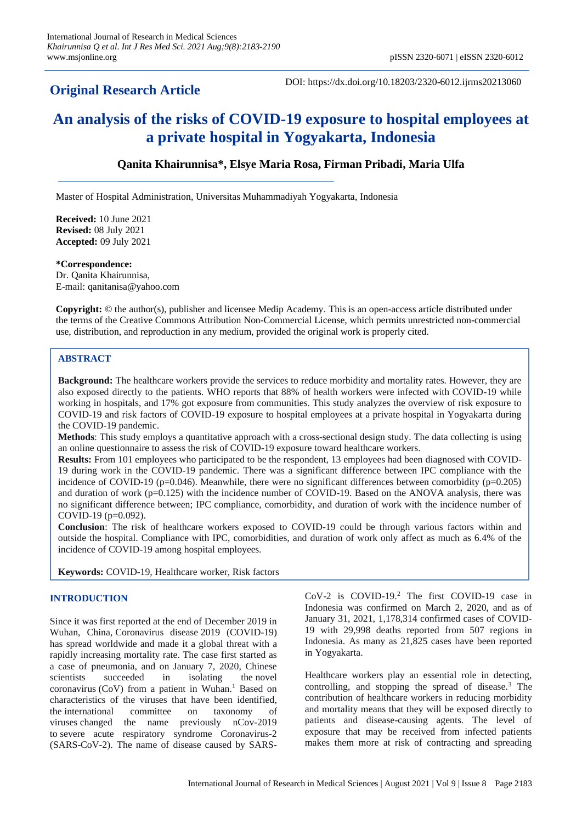# **Original Research Article**

DOI: https://dx.doi.org/10.18203/2320-6012.ijrms20213060

# **An analysis of the risks of COVID-19 exposure to hospital employees at a private hospital in Yogyakarta, Indonesia**

# **Qanita Khairunnisa\*, Elsye Maria Rosa, Firman Pribadi, Maria Ulfa**

Master of Hospital Administration, Universitas Muhammadiyah Yogyakarta, Indonesia

**Received:** 10 June 2021 **Revised:** 08 July 2021 **Accepted:** 09 July 2021

**\*Correspondence:** Dr. Qanita Khairunnisa, E-mail: qanitanisa@yahoo.com

**Copyright:** © the author(s), publisher and licensee Medip Academy. This is an open-access article distributed under the terms of the Creative Commons Attribution Non-Commercial License, which permits unrestricted non-commercial use, distribution, and reproduction in any medium, provided the original work is properly cited.

#### **ABSTRACT**

**Background:** The healthcare workers provide the services to reduce morbidity and mortality rates. However, they are also exposed directly to the patients. WHO reports that 88% of health workers were infected with COVID-19 while working in hospitals, and 17% got exposure from communities. This study analyzes the overview of risk exposure to COVID-19 and risk factors of COVID-19 exposure to hospital employees at a private hospital in Yogyakarta during the COVID-19 pandemic.

**Methods**: This study employs a quantitative approach with a cross-sectional design study. The data collecting is using an online questionnaire to assess the risk of COVID-19 exposure toward healthcare workers.

**Results:** From 101 employees who participated to be the respondent, 13 employees had been diagnosed with COVID-19 during work in the COVID-19 pandemic. There was a significant difference between IPC compliance with the incidence of COVID-19 ( $p=0.046$ ). Meanwhile, there were no significant differences between comorbidity ( $p=0.205$ ) and duration of work (p=0.125) with the incidence number of COVID-19. Based on the ANOVA analysis, there was no significant difference between; IPC compliance, comorbidity, and duration of work with the incidence number of COVID-19 (p=0.092).

**Conclusion**: The risk of healthcare workers exposed to COVID-19 could be through various factors within and outside the hospital. Compliance with IPC, comorbidities, and duration of work only affect as much as 6.4% of the incidence of COVID-19 among hospital employees.

**Keywords:** COVID-19, Healthcare worker, Risk factors

#### **INTRODUCTION**

Since it was first reported at the end of December 2019 in Wuhan, China, Coronavirus disease 2019 (COVID-19) has spread worldwide and made it a global threat with a rapidly increasing mortality rate. The case first started as a case of pneumonia, and on January 7, 2020, Chinese scientists succeeded in isolating the novel coronavirus (CoV) from a patient in Wuhan.<sup>1</sup> Based on characteristics of the viruses that have been identified, the international committee on taxonomy of viruses changed the name previously nCov-2019 to severe acute respiratory syndrome Coronavirus-2 (SARS-CoV-2). The name of disease caused by SARS- CoV-2 is COVID-19.<sup>2</sup> The first COVID-19 case in Indonesia was confirmed on March 2, 2020, and as of January 31, 2021, 1,178,314 confirmed cases of COVID-19 with 29,998 deaths reported from 507 regions in Indonesia. As many as 21,825 cases have been reported in Yogyakarta.

Healthcare workers play an essential role in detecting, controlling, and stopping the spread of disease.<sup>3</sup> The contribution of healthcare workers in reducing morbidity and mortality means that they will be exposed directly to patients and disease-causing agents. The level of exposure that may be received from infected patients makes them more at risk of contracting and spreading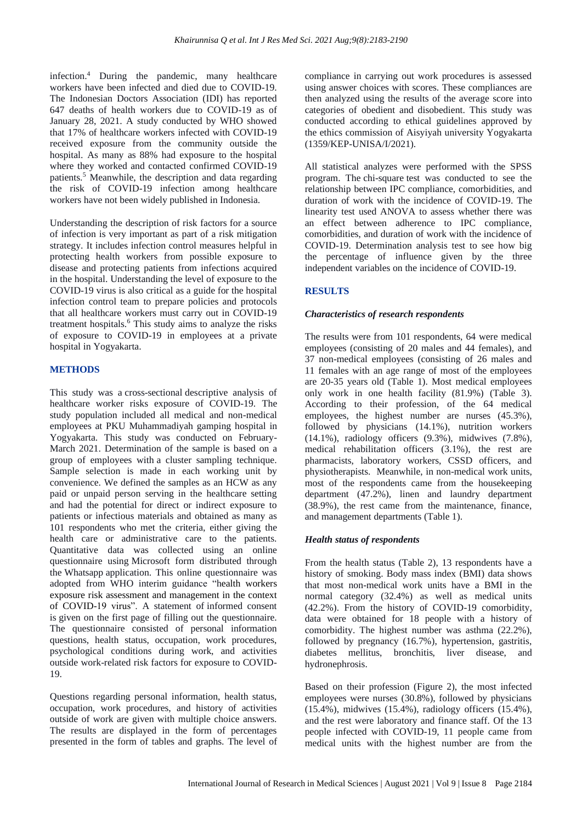infection.<sup>4</sup> During the pandemic, many healthcare workers have been infected and died due to COVID-19. The Indonesian Doctors Association (IDI) has reported 647 deaths of health workers due to COVID-19 as of January 28, 2021. A study conducted by WHO showed that 17% of healthcare workers infected with COVID-19 received exposure from the community outside the hospital. As many as 88% had exposure to the hospital where they worked and contacted confirmed COVID-19 patients.<sup>5</sup> Meanwhile, the description and data regarding the risk of COVID-19 infection among healthcare workers have not been widely published in Indonesia.

Understanding the description of risk factors for a source of infection is very important as part of a risk mitigation strategy. It includes infection control measures helpful in protecting health workers from possible exposure to disease and protecting patients from infections acquired in the hospital. Understanding the level of exposure to the COVID-19 virus is also critical as a guide for the hospital infection control team to prepare policies and protocols that all healthcare workers must carry out in COVID-19 treatment hospitals.<sup>6</sup> This study aims to analyze the risks of exposure to COVID-19 in employees at a private hospital in Yogyakarta.

#### **METHODS**

This study was a cross-sectional descriptive analysis of healthcare worker risks exposure of COVID-19. The study population included all medical and non-medical employees at PKU Muhammadiyah gamping hospital in Yogyakarta. This study was conducted on February-March 2021. Determination of the sample is based on a group of employees with a cluster sampling technique. Sample selection is made in each working unit by convenience. We defined the samples as an HCW as any paid or unpaid person serving in the healthcare setting and had the potential for direct or indirect exposure to patients or infectious materials and obtained as many as 101 respondents who met the criteria, either giving the health care or administrative care to the patients. Quantitative data was collected using an online questionnaire using Microsoft form distributed through the Whatsapp application. This online questionnaire was adopted from WHO interim guidance "health workers exposure risk assessment and management in the context of COVID-19 virus". A statement of informed consent is given on the first page of filling out the questionnaire. The questionnaire consisted of personal information questions, health status, occupation, work procedures, psychological conditions during work, and activities outside work-related risk factors for exposure to COVID-19.

Questions regarding personal information, health status, occupation, work procedures, and history of activities outside of work are given with multiple choice answers. The results are displayed in the form of percentages presented in the form of tables and graphs. The level of compliance in carrying out work procedures is assessed using answer choices with scores. These compliances are then analyzed using the results of the average score into categories of obedient and disobedient. This study was conducted according to ethical guidelines approved by the ethics commission of Aisyiyah university Yogyakarta (1359/KEP-UNISA/I/2021).

All statistical analyzes were performed with the SPSS program. The chi-square test was conducted to see the relationship between IPC compliance, comorbidities, and duration of work with the incidence of COVID-19. The linearity test used ANOVA to assess whether there was an effect between adherence to IPC compliance, comorbidities, and duration of work with the incidence of COVID-19. Determination analysis test to see how big the percentage of influence given by the three independent variables on the incidence of COVID-19.

### **RESULTS**

#### *Characteristics of research respondents*

The results were from 101 respondents, 64 were medical employees (consisting of 20 males and 44 females), and 37 non-medical employees (consisting of 26 males and 11 females with an age range of most of the employees are 20-35 years old (Table 1). Most medical employees only work in one health facility (81.9%) (Table 3). According to their profession, of the 64 medical employees, the highest number are nurses (45.3%), followed by physicians (14.1%), nutrition workers (14.1%), radiology officers (9.3%), midwives (7.8%), medical rehabilitation officers (3.1%), the rest are pharmacists, laboratory workers, CSSD officers, and physiotherapists. Meanwhile, in non-medical work units, most of the respondents came from the housekeeping department (47.2%), linen and laundry department (38.9%), the rest came from the maintenance, finance, and management departments (Table 1).

#### *Health status of respondents*

From the health status (Table 2), 13 respondents have a history of smoking. Body mass index (BMI) data shows that most non-medical work units have a BMI in the normal category (32.4%) as well as medical units (42.2%). From the history of COVID-19 comorbidity, data were obtained for 18 people with a history of comorbidity. The highest number was asthma (22.2%), followed by pregnancy (16.7%), hypertension, gastritis, diabetes mellitus, bronchitis, liver disease, and hydronephrosis.

Based on their profession (Figure 2), the most infected employees were nurses (30.8%), followed by physicians (15.4%), midwives (15.4%), radiology officers (15.4%), and the rest were laboratory and finance staff. Of the 13 people infected with COVID-19, 11 people came from medical units with the highest number are from the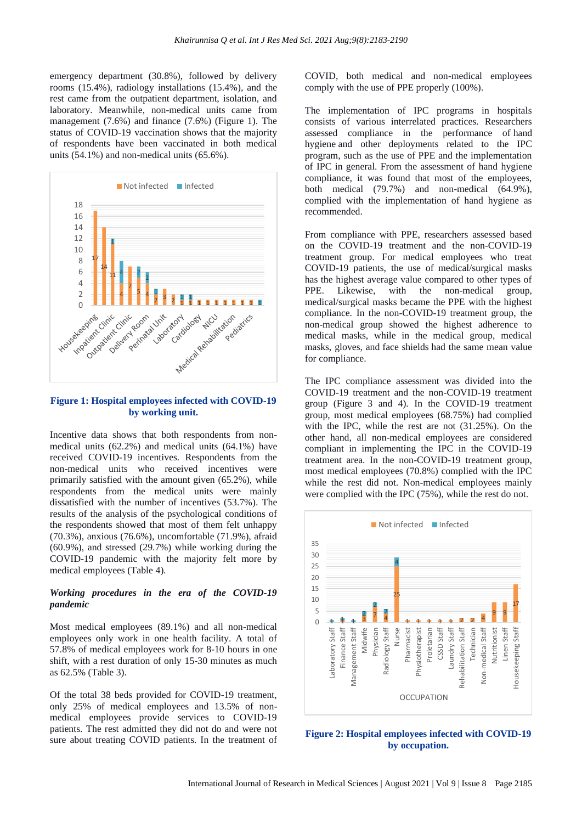emergency department (30.8%), followed by delivery rooms (15.4%), radiology installations (15.4%), and the rest came from the outpatient department, isolation, and laboratory. Meanwhile, non-medical units came from management (7.6%) and finance (7.6%) (Figure 1). The status of COVID-19 vaccination shows that the majority of respondents have been vaccinated in both medical units (54.1%) and non-medical units (65.6%).



**Figure 1: Hospital employees infected with COVID-19 by working unit.**

Incentive data shows that both respondents from nonmedical units (62.2%) and medical units (64.1%) have received COVID-19 incentives. Respondents from the non-medical units who received incentives were primarily satisfied with the amount given (65.2%), while respondents from the medical units were mainly dissatisfied with the number of incentives (53.7%). The results of the analysis of the psychological conditions of the respondents showed that most of them felt unhappy (70.3%), anxious (76.6%), uncomfortable (71.9%), afraid (60.9%), and stressed (29.7%) while working during the COVID-19 pandemic with the majority felt more by medical employees (Table 4).

#### *Working procedures in the era of the COVID-19 pandemic*

Most medical employees (89.1%) and all non-medical employees only work in one health facility. A total of 57.8% of medical employees work for 8-10 hours in one shift, with a rest duration of only 15-30 minutes as much as 62.5% (Table 3).

Of the total 38 beds provided for COVID-19 treatment, only 25% of medical employees and 13.5% of nonmedical employees provide services to COVID-19 patients. The rest admitted they did not do and were not sure about treating COVID patients. In the treatment of COVID, both medical and non-medical employees comply with the use of PPE properly (100%).

The implementation of IPC programs in hospitals consists of various interrelated practices. Researchers assessed compliance in the performance of hand hygiene and other deployments related to the IPC program, such as the use of PPE and the implementation of IPC in general. From the assessment of hand hygiene compliance, it was found that most of the employees, both medical (79.7%) and non-medical (64.9%), complied with the implementation of hand hygiene as recommended.

From compliance with PPE, researchers assessed based on the COVID-19 treatment and the non-COVID-19 treatment group. For medical employees who treat COVID-19 patients, the use of medical/surgical masks has the highest average value compared to other types of PPE. Likewise, with the non-medical group, medical/surgical masks became the PPE with the highest compliance. In the non-COVID-19 treatment group, the non-medical group showed the highest adherence to medical masks, while in the medical group, medical masks, gloves, and face shields had the same mean value for compliance.

The IPC compliance assessment was divided into the COVID-19 treatment and the non-COVID-19 treatment group (Figure 3 and 4). In the COVID-19 treatment group, most medical employees (68.75%) had complied with the IPC, while the rest are not (31.25%). On the other hand, all non-medical employees are considered compliant in implementing the IPC in the COVID-19 treatment area. In the non-COVID-19 treatment group, most medical employees (70.8%) complied with the IPC while the rest did not. Non-medical employees mainly were complied with the IPC (75%), while the rest do not.



**Figure 2: Hospital employees infected with COVID-19 by occupation.**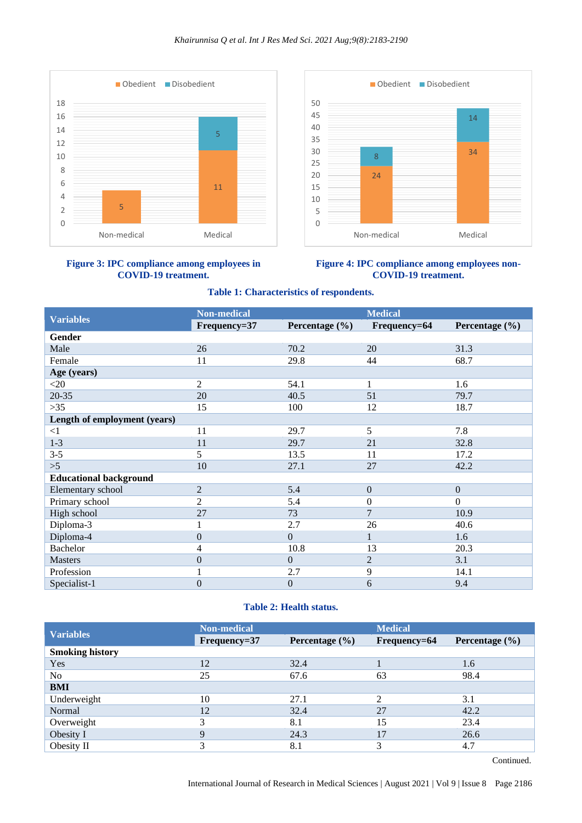#### *Khairunnisa Q et al. Int J Res Med Sci. 2021 Aug;9(8):2183-2190*







#### **Figure 4: IPC compliance among employees non-COVID-19 treatment.**

#### **Table 1: Characteristics of respondents.**

|                               | <b>Non-medical</b> |                    | <b>Medical</b>   |                    |
|-------------------------------|--------------------|--------------------|------------------|--------------------|
| <b>Variables</b>              | Frequency=37       | Percentage $(\% )$ | Frequency=64     | Percentage $(\% )$ |
| Gender                        |                    |                    |                  |                    |
| Male                          | 26                 | 70.2               | 20               | 31.3               |
| Female                        | 11                 | 29.8               | 44               | 68.7               |
| Age (years)                   |                    |                    |                  |                    |
| $<$ 20                        | 2                  | 54.1               | 1                | 1.6                |
| 20-35                         | 20                 | 40.5               | 51               | 79.7               |
| $>35$                         | 15                 | 100                | 12               | 18.7               |
| Length of employment (years)  |                    |                    |                  |                    |
| $\leq$ 1                      | 11                 | 29.7               | 5                | 7.8                |
| $1 - 3$                       | 11                 | 29.7               | 21               | 32.8               |
| $3 - 5$                       | 5                  | 13.5               | 11               | 17.2               |
| >5                            | 10                 | 27.1               | 27               | 42.2               |
| <b>Educational background</b> |                    |                    |                  |                    |
| Elementary school             | $\overline{2}$     | 5.4                | $\mathbf{0}$     | $\mathbf{0}$       |
| Primary school                | $\overline{2}$     | 5.4                | $\boldsymbol{0}$ | $\Omega$           |
| High school                   | 27                 | 73                 | $\tau$           | 10.9               |
| Diploma-3                     | 1                  | 2.7                | 26               | 40.6               |
| Diploma-4                     | $\boldsymbol{0}$   | $\Omega$           |                  | 1.6                |
| <b>Bachelor</b>               | $\overline{4}$     | 10.8               | 13               | 20.3               |
| <b>Masters</b>                | $\boldsymbol{0}$   | $\Omega$           | $\overline{2}$   | 3.1                |
| Profession                    |                    | 2.7                | 9                | 14.1               |
| Specialist-1                  | $\mathbf{0}$       | $\mathbf{0}$       | 6                | 9.4                |

# **Table 2: Health status.**

| <b>Variables</b>       | <b>Non-medical</b> |                    | <b>Medical</b>          |                    |
|------------------------|--------------------|--------------------|-------------------------|--------------------|
|                        | Frequency=37       | Percentage $(\% )$ | Frequency=64            | Percentage $(\% )$ |
| <b>Smoking history</b> |                    |                    |                         |                    |
| Yes                    | 12                 | 32.4               |                         | 1.6                |
| No                     | 25                 | 67.6               | 63                      | 98.4               |
| <b>BMI</b>             |                    |                    |                         |                    |
| Underweight            | 10                 | 27.1               |                         | 3.1                |
| Normal                 | 12                 | 32.4               | 27                      | 42.2               |
| Overweight             | 3                  | 8.1                | 15                      | 23.4               |
| Obesity I              | $\mathbf Q$        | 24.3               | 17                      | 26.6               |
| Obesity II             | 3                  | 8.1                | $\mathbf{\overline{3}}$ | 4.7                |

Continued.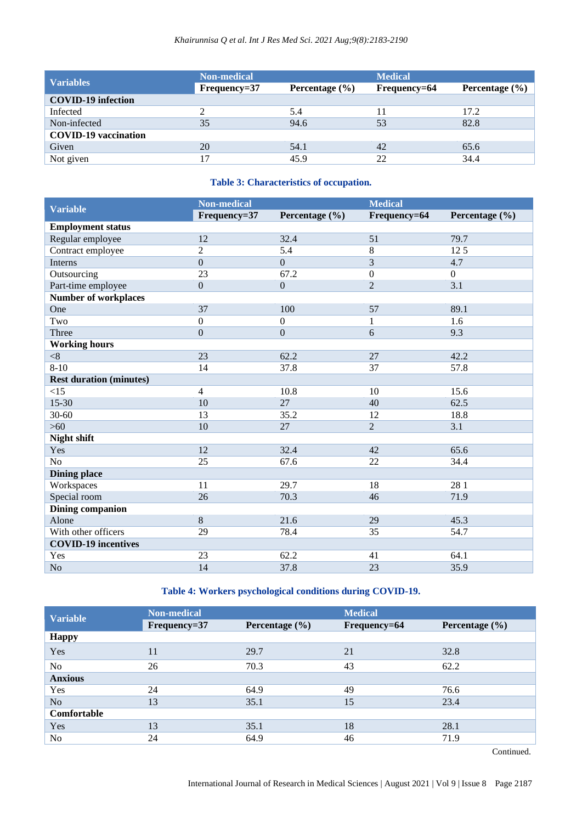| <b>Variables</b>            | <b>Non-medical</b><br>Frequency=37 | Percentage $(\% )$ | <b>Medical</b><br>Frequency=64 | Percentage $(\% )$ |
|-----------------------------|------------------------------------|--------------------|--------------------------------|--------------------|
| <b>COVID-19</b> infection   |                                    |                    |                                |                    |
| Infected                    |                                    | 5.4                |                                | 17.2               |
| Non-infected                | 35                                 | 94.6               | 53                             | 82.8               |
| <b>COVID-19</b> vaccination |                                    |                    |                                |                    |
| Given                       | 20                                 | 54.1               | 42                             | 65.6               |
| Not given                   | 17                                 | 45.9               | 22                             | 34.4               |

# **Table 3: Characteristics of occupation.**

| <b>Variable</b>                | <b>Non-medical</b> |                  | <b>Medical</b>   |                    |
|--------------------------------|--------------------|------------------|------------------|--------------------|
|                                | Frequency=37       | Percentage (%)   | Frequency=64     | Percentage $(\% )$ |
| <b>Employment status</b>       |                    |                  |                  |                    |
| Regular employee               | 12                 | 32.4             | 51               | 79.7               |
| Contract employee              | $\overline{2}$     | 5.4              | $\,8\,$          | 125                |
| Interns                        | $\overline{0}$     | $\overline{0}$   | $\overline{3}$   | 4.7                |
| Outsourcing                    | 23                 | 67.2             | $\boldsymbol{0}$ | $\boldsymbol{0}$   |
| Part-time employee             | $\mathbf{0}$       | $\overline{0}$   | $\overline{2}$   | 3.1                |
| <b>Number of workplaces</b>    |                    |                  |                  |                    |
| One                            | 37                 | 100              | 57               | 89.1               |
| Two                            | $\mathbf{0}$       | $\boldsymbol{0}$ | $\mathbf{1}$     | 1.6                |
| Three                          | $\overline{0}$     | $\overline{0}$   | 6                | 9.3                |
| <b>Working hours</b>           |                    |                  |                  |                    |
| < 8                            | 23                 | 62.2             | 27               | 42.2               |
| $8 - 10$                       | 14                 | 37.8             | 37               | 57.8               |
| <b>Rest duration (minutes)</b> |                    |                  |                  |                    |
| <15                            | $\overline{4}$     | 10.8             | 10               | 15.6               |
| 15-30                          | 10                 | 27               | 40               | 62.5               |
| 30-60                          | 13                 | 35.2             | 12               | 18.8               |
| $>60$                          | 10                 | 27               | $\overline{2}$   | 3.1                |
| <b>Night shift</b>             |                    |                  |                  |                    |
| Yes                            | 12                 | 32.4             | 42               | 65.6               |
| N <sub>o</sub>                 | 25                 | 67.6             | 22               | 34.4               |
| <b>Dining place</b>            |                    |                  |                  |                    |
| Workspaces                     | 11                 | 29.7             | 18               | 28 1               |
| Special room                   | 26                 | 70.3             | 46               | 71.9               |
| <b>Dining companion</b>        |                    |                  |                  |                    |
| Alone                          | 8                  | 21.6             | 29               | 45.3               |
| With other officers            | 29                 | 78.4             | 35               | 54.7               |
| <b>COVID-19 incentives</b>     |                    |                  |                  |                    |
| Yes                            | 23                 | 62.2             | 41               | 64.1               |
| No                             | 14                 | 37.8             | 23               | 35.9               |

# **Table 4: Workers psychological conditions during COVID-19.**

|                 | <b>Non-medical</b> |                    | <b>Medical</b> |                    |  |
|-----------------|--------------------|--------------------|----------------|--------------------|--|
| <b>Variable</b> | Frequency=37       | Percentage $(\% )$ | Frequency=64   | Percentage $(\% )$ |  |
| <b>Happy</b>    |                    |                    |                |                    |  |
| Yes             | 11                 | 29.7               | 21             | 32.8               |  |
| N <sub>o</sub>  | 26                 | 70.3               | 43             | 62.2               |  |
| <b>Anxious</b>  |                    |                    |                |                    |  |
| Yes             | 24                 | 64.9               | 49             | 76.6               |  |
| No              | 13                 | 35.1               | 15             | 23.4               |  |
| Comfortable     |                    |                    |                |                    |  |
| Yes             | 13                 | 35.1               | 18             | 28.1               |  |
| No              | 24                 | 64.9               | 46             | 71.9               |  |

Continued.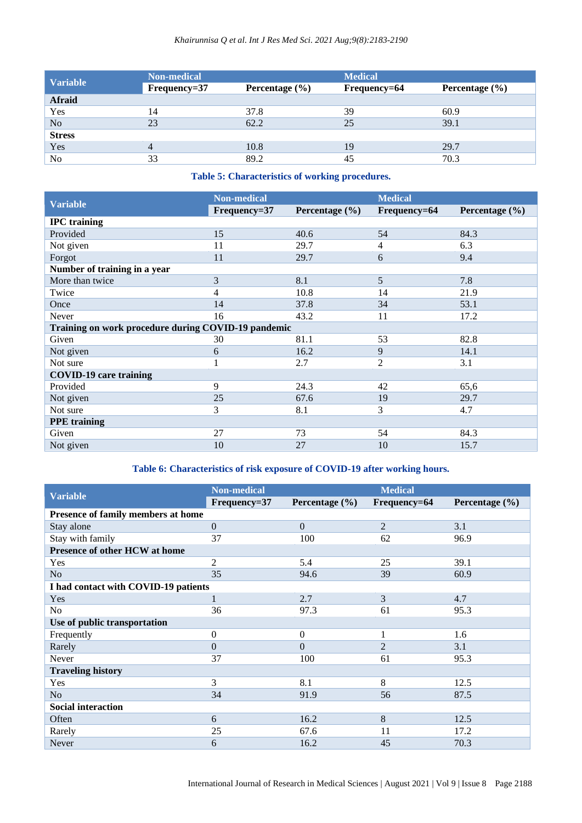|                 | <b>Non-medical</b> |                    | <b>Medical</b> |                    |  |
|-----------------|--------------------|--------------------|----------------|--------------------|--|
| <b>Variable</b> | Frequency=37       | Percentage $(\% )$ | Frequency=64   | Percentage $(\% )$ |  |
| Afraid          |                    |                    |                |                    |  |
| Yes             | 14                 | 37.8               | 39             | 60.9               |  |
| No              | 23                 | 62.2               | 25             | 39.1               |  |
| <b>Stress</b>   |                    |                    |                |                    |  |
| Yes             | 4                  | 10.8               | 19             | 29.7               |  |
| No              | 33                 | 89.2               | 45             | 70.3               |  |

**Table 5: Characteristics of working procedures.**

| <b>Variable</b>                                     | <b>Non-medical</b> |                    | <b>Medical</b> |                    |  |  |  |
|-----------------------------------------------------|--------------------|--------------------|----------------|--------------------|--|--|--|
|                                                     | Frequency=37       | Percentage $(\% )$ | Frequency=64   | Percentage $(\% )$ |  |  |  |
| <b>IPC</b> training                                 |                    |                    |                |                    |  |  |  |
| Provided                                            | 15                 | 40.6               | 54             | 84.3               |  |  |  |
| Not given                                           | 11                 | 29.7               | 4              | 6.3                |  |  |  |
| Forgot                                              | 11                 | 29.7               | 6              | 9.4                |  |  |  |
| Number of training in a year                        |                    |                    |                |                    |  |  |  |
| More than twice                                     | 3                  | 8.1                | 5              | 7.8                |  |  |  |
| Twice                                               | 4                  | 10.8               | 14             | 21.9               |  |  |  |
| Once                                                | 14                 | 37.8               | 34             | 53.1               |  |  |  |
| Never                                               | 16                 | 43.2               | 11             | 17.2               |  |  |  |
| Training on work procedure during COVID-19 pandemic |                    |                    |                |                    |  |  |  |
| Given                                               | 30                 | 81.1               | 53             | 82.8               |  |  |  |
| Not given                                           | 6                  | 16.2               | 9              | 14.1               |  |  |  |
| Not sure                                            |                    | 2.7                | $\overline{2}$ | 3.1                |  |  |  |
| <b>COVID-19 care training</b>                       |                    |                    |                |                    |  |  |  |
| Provided                                            | 9                  | 24.3               | 42             | 65,6               |  |  |  |
| Not given                                           | 25                 | 67.6               | 19             | 29.7               |  |  |  |
| Not sure                                            | 3                  | 8.1                | 3              | 4.7                |  |  |  |
| <b>PPE</b> training                                 |                    |                    |                |                    |  |  |  |
| Given                                               | 27                 | 73                 | 54             | 84.3               |  |  |  |
| Not given                                           | 10                 | 27                 | 10             | 15.7               |  |  |  |

# **Table 6: Characteristics of risk exposure of COVID-19 after working hours.**

| <b>Variable</b>                      | <b>Non-medical</b> |                    | <b>Medical</b> |                    |  |  |
|--------------------------------------|--------------------|--------------------|----------------|--------------------|--|--|
|                                      | Frequency=37       | Percentage $(\% )$ | Frequency=64   | Percentage $(\% )$ |  |  |
| Presence of family members at home   |                    |                    |                |                    |  |  |
| Stay alone                           | $\Omega$           | $\Omega$           | $\overline{2}$ | 3.1                |  |  |
| Stay with family                     | 37                 | 100                | 62             | 96.9               |  |  |
| Presence of other HCW at home        |                    |                    |                |                    |  |  |
| Yes                                  | $\overline{2}$     | 5.4                | 25             | 39.1               |  |  |
| No                                   | 35                 | 94.6               | 39             | 60.9               |  |  |
| I had contact with COVID-19 patients |                    |                    |                |                    |  |  |
| Yes                                  | 1                  | 2.7                | 3              | 4.7                |  |  |
| No                                   | 36                 | 97.3               | 61             | 95.3               |  |  |
| Use of public transportation         |                    |                    |                |                    |  |  |
| Frequently                           | $\Omega$           | $\Omega$           | 1              | 1.6                |  |  |
| Rarely                               | $\Omega$           | $\theta$           | $\overline{2}$ | 3.1                |  |  |
| Never                                | 37                 | 100                | 61             | 95.3               |  |  |
| <b>Traveling history</b>             |                    |                    |                |                    |  |  |
| Yes                                  | 3                  | 8.1                | 8              | 12.5               |  |  |
| N <sub>o</sub>                       | 34                 | 91.9               | 56             | 87.5               |  |  |
| <b>Social interaction</b>            |                    |                    |                |                    |  |  |
| Often                                | 6                  | 16.2               | 8              | 12.5               |  |  |
| Rarely                               | 25                 | 67.6               | 11             | 17.2               |  |  |
| Never                                | 6                  | 16.2               | 45             | 70.3               |  |  |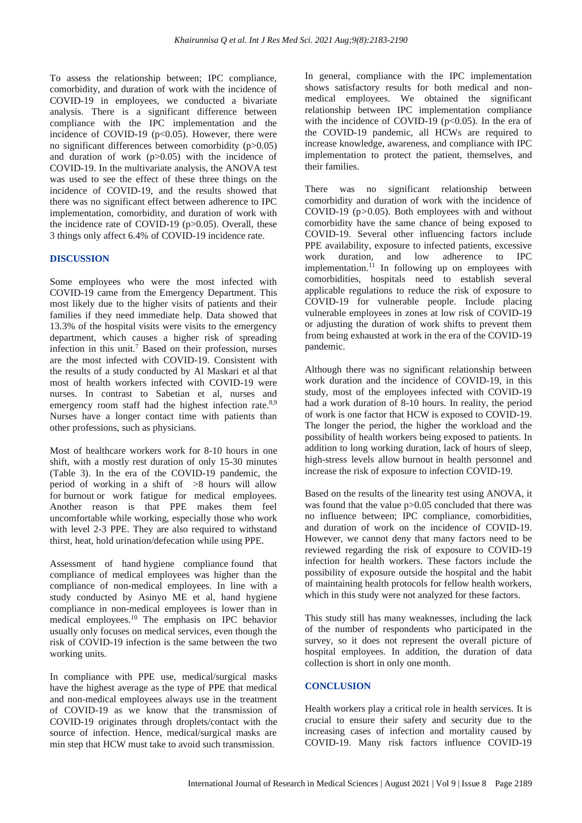To assess the relationship between; IPC compliance, comorbidity, and duration of work with the incidence of COVID-19 in employees, we conducted a bivariate analysis. There is a significant difference between compliance with the IPC implementation and the incidence of COVID-19 ( $p<0.05$ ). However, there were no significant differences between comorbidity (p>0.05) and duration of work (p>0.05) with the incidence of COVID-19. In the multivariate analysis, the ANOVA test was used to see the effect of these three things on the incidence of COVID-19, and the results showed that there was no significant effect between adherence to IPC implementation, comorbidity, and duration of work with the incidence rate of COVID-19 (p>0.05). Overall, these 3 things only affect 6.4% of COVID-19 incidence rate.

#### **DISCUSSION**

Some employees who were the most infected with COVID-19 came from the Emergency Department. This most likely due to the higher visits of patients and their families if they need immediate help. Data showed that 13.3% of the hospital visits were visits to the emergency department, which causes a higher risk of spreading infection in this unit.<sup>7</sup> Based on their profession, nurses are the most infected with COVID-19. Consistent with the results of a study conducted by Al Maskari et al that most of health workers infected with COVID-19 were nurses. In contrast to Sabetian et al, nurses and emergency room staff had the highest infection rate.<sup>8,9</sup> Nurses have a longer contact time with patients than other professions, such as physicians.

Most of healthcare workers work for 8-10 hours in one shift, with a mostly rest duration of only 15-30 minutes (Table 3). In the era of the COVID-19 pandemic, the period of working in a shift of >8 hours will allow for burnout or work fatigue for medical employees. Another reason is that PPE makes them feel uncomfortable while working, especially those who work with level 2-3 PPE. They are also required to withstand thirst, heat, hold urination/defecation while using PPE.

Assessment of hand hygiene compliance found that compliance of medical employees was higher than the compliance of non-medical employees. In line with a study conducted by Asinyo ME et al, hand hygiene compliance in non-medical employees is lower than in medical employees.<sup>10</sup> The emphasis on IPC behavior usually only focuses on medical services, even though the risk of COVID-19 infection is the same between the two working units.

In compliance with PPE use, medical/surgical masks have the highest average as the type of PPE that medical and non-medical employees always use in the treatment of COVID-19 as we know that the transmission of COVID-19 originates through droplets/contact with the source of infection. Hence, medical/surgical masks are min step that HCW must take to avoid such transmission.

In general, compliance with the IPC implementation shows satisfactory results for both medical and nonmedical employees. We obtained the significant relationship between IPC implementation compliance with the incidence of COVID-19 ( $p<0.05$ ). In the era of the COVID-19 pandemic, all HCWs are required to increase knowledge, awareness, and compliance with IPC implementation to protect the patient, themselves, and their families.

There was no significant relationship between comorbidity and duration of work with the incidence of COVID-19 (p*>*0.05). Both employees with and without comorbidity have the same chance of being exposed to COVID-19. Several other influencing factors include PPE availability, exposure to infected patients, excessive work duration, and low adherence to IPC implementation.<sup>11</sup> In following up on employees with comorbidities, hospitals need to establish several applicable regulations to reduce the risk of exposure to COVID-19 for vulnerable people. Include placing vulnerable employees in zones at low risk of COVID-19 or adjusting the duration of work shifts to prevent them from being exhausted at work in the era of the COVID-19 pandemic.

Although there was no significant relationship between work duration and the incidence of COVID-19, in this study, most of the employees infected with COVID-19 had a work duration of 8-10 hours. In reality, the period of work is one factor that HCW is exposed to COVID-19. The longer the period, the higher the workload and the possibility of health workers being exposed to patients. In addition to long working duration, lack of hours of sleep, high-stress levels allow burnout in health personnel and increase the risk of exposure to infection COVID-19.

Based on the results of the linearity test using ANOVA, it was found that the value  $p > 0.05$  concluded that there was no influence between; IPC compliance, comorbidities, and duration of work on the incidence of COVID-19. However, we cannot deny that many factors need to be reviewed regarding the risk of exposure to COVID-19 infection for health workers. These factors include the possibility of exposure outside the hospital and the habit of maintaining health protocols for fellow health workers, which in this study were not analyzed for these factors.

This study still has many weaknesses, including the lack of the number of respondents who participated in the survey, so it does not represent the overall picture of hospital employees. In addition, the duration of data collection is short in only one month.

#### **CONCLUSION**

Health workers play a critical role in health services. It is crucial to ensure their safety and security due to the increasing cases of infection and mortality caused by COVID-19. Many risk factors influence COVID-19